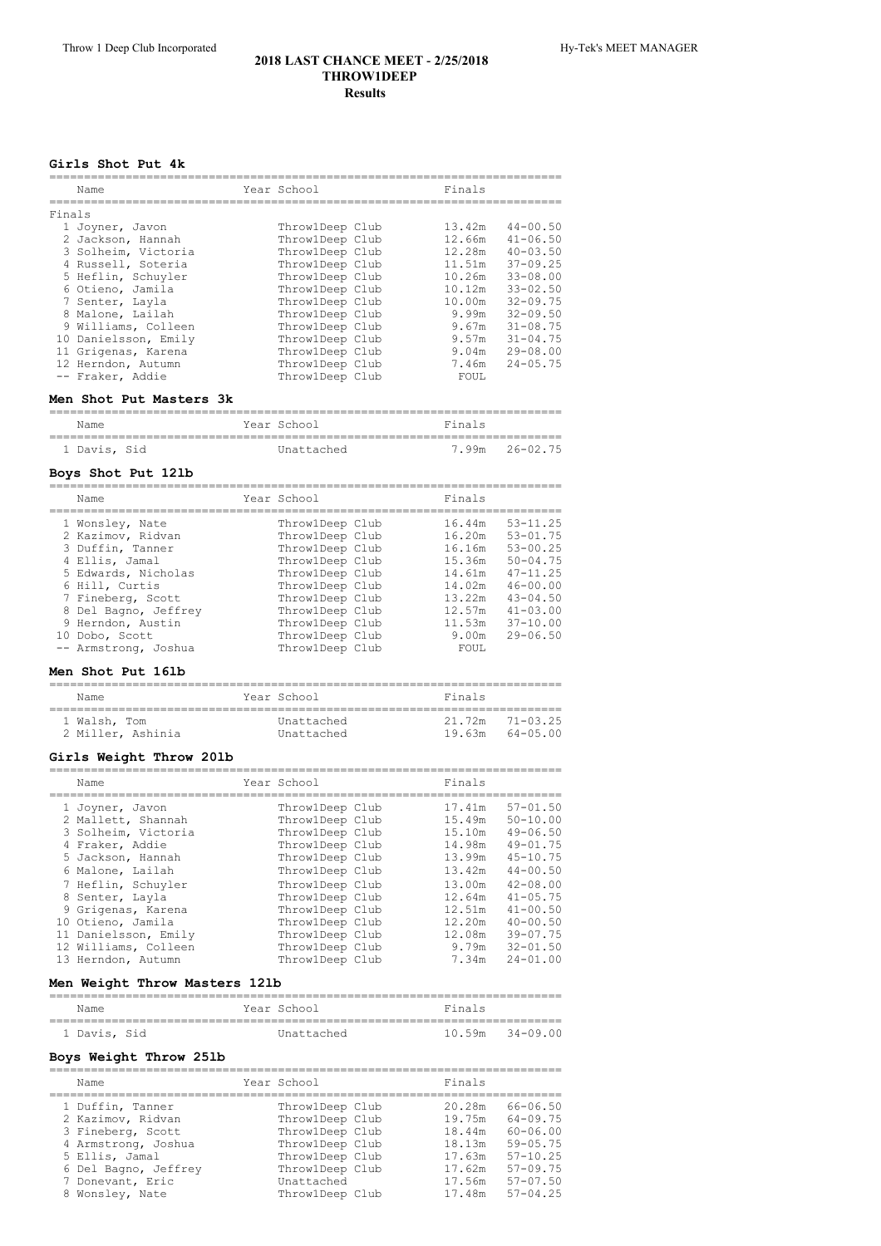#### **Girls Shot Put 4k**

|        | Name                 | Year School     | Finals |              |
|--------|----------------------|-----------------|--------|--------------|
| Finals |                      |                 |        |              |
|        | 1 Joyner, Javon      | ThrowlDeep Club | 13.42m | $44 - 00.50$ |
|        | 2 Jackson, Hannah    | ThrowlDeep Club | 12.66m | $41 - 06.50$ |
|        | 3 Solheim, Victoria  | ThrowlDeep Club | 12.28m | $40 - 03.50$ |
|        | 4 Russell, Soteria   | ThrowlDeep Club | 11.51m | $37 - 09.25$ |
|        | 5 Heflin, Schuyler   | ThrowlDeep Club | 10.26m | $33 - 08.00$ |
|        | 6 Otieno, Jamila     | ThrowlDeep Club | 10.12m | $33 - 02.50$ |
|        | 7 Senter, Layla      | ThrowlDeep Club | 10.00m | $32 - 09.75$ |
|        | 8 Malone, Lailah     | ThrowlDeep Club | 9.99m  | $32 - 09.50$ |
|        | 9 Williams, Colleen  | ThrowlDeep Club | 9.67m  | $31 - 08.75$ |
|        | 10 Danielsson, Emily | ThrowlDeep Club | 9.57m  | $31 - 04.75$ |
|        | 11 Grigenas, Karena  | ThrowlDeep Club | 9.04m  | $29 - 08.00$ |
|        | 12 Herndon, Autumn   | ThrowlDeep Club | 7.46m  | $24 - 05.75$ |
|        | -- Fraker, Addie     | ThrowlDeep Club | FOUL   |              |
|        |                      |                 |        |              |

#### **Men Shot Put Masters 3k**

| Name         | Year School | Finals         |
|--------------|-------------|----------------|
| 1 Davis, Sid | Unattached  | 7.99m 26-02.75 |

#### **Boys Shot Put 12lb**

| Name                                                                                                                                                                                                                            | Year School                                                                                                                                                                                                   | Finals                                                                                                   |                                                                                                                                                                 |
|---------------------------------------------------------------------------------------------------------------------------------------------------------------------------------------------------------------------------------|---------------------------------------------------------------------------------------------------------------------------------------------------------------------------------------------------------------|----------------------------------------------------------------------------------------------------------|-----------------------------------------------------------------------------------------------------------------------------------------------------------------|
| 1 Wonsley, Nate<br>2 Kazimov, Ridvan<br>3 Duffin, Tanner<br>4 Ellis, Jamal<br>5 Edwards, Nicholas<br>6 Hill, Curtis<br>7 Fineberg, Scott<br>8 Del Bagno, Jeffrey<br>9 Herndon, Austin<br>10 Dobo, Scott<br>-- Armstrong, Joshua | ThrowlDeep Club<br>ThrowlDeep Club<br>ThrowlDeep Club<br>ThrowlDeep Club<br>ThrowlDeep Club<br>ThrowlDeep Club<br>ThrowlDeep Club<br>ThrowlDeep Club<br>ThrowlDeep Club<br>ThrowlDeep Club<br>ThrowlDeep Club | 16.44m<br>16.20m<br>16.16m<br>15.36m<br>14.61m<br>14.02m<br>13.22m<br>12.57m<br>11.53m<br>9.00m<br>FOUL. | $53 - 11.25$<br>$53 - 01.75$<br>$53 - 00.25$<br>$50 - 04.75$<br>$47 - 11.25$<br>$46 - 00.00$<br>$43 - 04.50$<br>$41 - 0.3$ , 00<br>$37 - 10.00$<br>$29 - 06.50$ |

## **Men Shot Put 16lb**

| Name              | Year School | Finals              |  |  |  |  |
|-------------------|-------------|---------------------|--|--|--|--|
| 1 Walsh, Tom      | Unattached  | $21.72m$ $71-03.25$ |  |  |  |  |
| 2 Miller. Ashinia | Unattached  | 19.63m 64-05.00     |  |  |  |  |

## **Girls Weight Throw 20lb**

| Name                 | Year School     | Finals |              |
|----------------------|-----------------|--------|--------------|
| 1 Joyner, Javon      | ThrowlDeep Club | 17.41m | $57 - 01.50$ |
| 2 Mallett, Shannah   | ThrowlDeep Club | 15.49m | $50 - 10.00$ |
| 3 Solheim, Victoria  | ThrowlDeep Club | 15.10m | $49 - 06.50$ |
| 4 Fraker, Addie      | ThrowlDeep Club | 14.98m | $49 - 01.75$ |
| 5 Jackson, Hannah    | ThrowlDeep Club | 13.99m | $45 - 10.75$ |
| 6 Malone, Lailah     | ThrowlDeep Club | 13.42m | $44 - 00.50$ |
| 7 Heflin, Schuyler   | ThrowlDeep Club | 13.00m | $42 - 08.00$ |
| 8 Senter, Layla      | ThrowlDeep Club | 12.64m | $41 - 05.75$ |
| 9 Grigenas, Karena   | ThrowlDeep Club | 12.51m | $41 - 00.50$ |
| 10 Otieno, Jamila    | ThrowlDeep Club | 12.20m | $40 - 00.50$ |
| 11 Danielsson, Emily | ThrowlDeep Club | 12.08m | $39 - 07.75$ |
| 12 Williams, Colleen | ThrowlDeep Club | 9.79m  | $32 - 01.50$ |
| 13 Herndon, Autumn   | ThrowlDeep Club | 7.34m  | $24 - 01.00$ |

## **Men Weight Throw Masters 12lb**

| Name         |  |  | Year School | Finals              |  |  |  |
|--------------|--|--|-------------|---------------------|--|--|--|
|              |  |  |             |                     |  |  |  |
| 1 Davis, Sid |  |  | Unattached  | $10.59m$ $34-09.00$ |  |  |  |

# **Boys Weight Throw 25lb**

| Name                 | Year School     | Finals |              |
|----------------------|-----------------|--------|--------------|
| 1 Duffin, Tanner     | ThrowlDeep Club | 20.28m | $66 - 06.50$ |
| 2 Kazimov, Ridvan    | Throw1Deep Club | 19.75m | $64 - 09.75$ |
| 3 Fineberg, Scott    | Throw1Deep Club | 18.44m | $60 - 06.00$ |
| 4 Armstrong, Joshua  | Throw1Deep Club | 18.13m | $59 - 05.75$ |
| 5 Ellis, Jamal       | ThrowlDeep Club | 17.63m | $57 - 10.25$ |
| 6 Del Bagno, Jeffrey | Throw1Deep Club | 17.62m | $57 - 09.75$ |
| 7 Donevant, Eric     | Unattached      | 17.56m | $57 - 07.50$ |
| 8 Wonsley, Nate      | ThrowlDeep Club | 17.48m | $57 - 04.25$ |